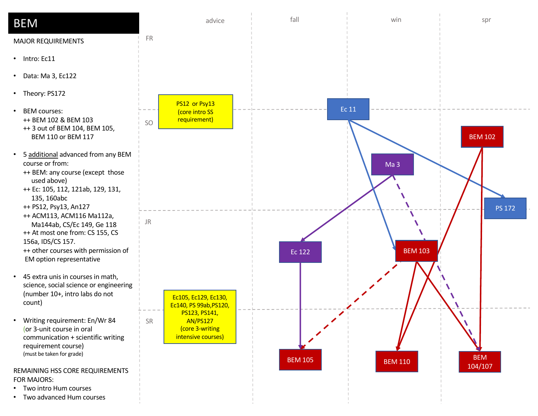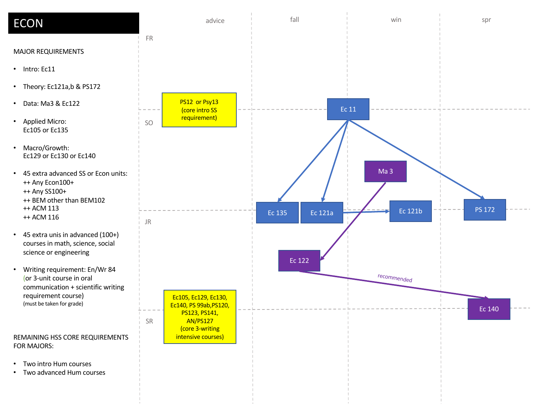